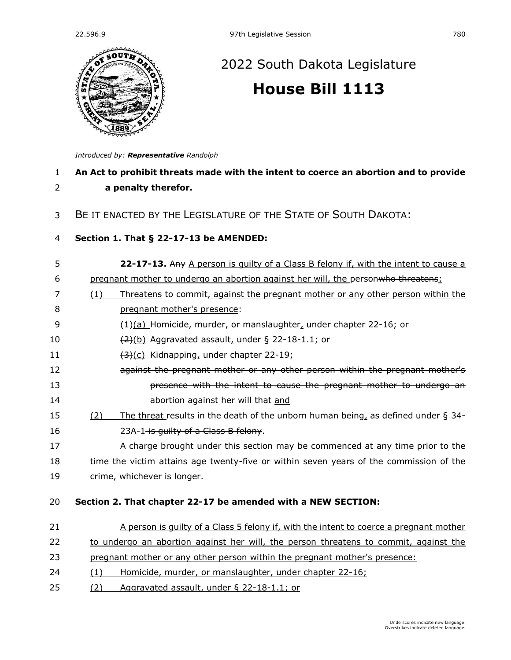

## [2022 South Dakota Legislature](https://sdlegislature.gov/Session/Bills/64) **[House Bill 1113](https://sdlegislature.gov/Session/Bill/23167)**

*Introduced by: Representative [Randolph](https://sdlegislature.gov/Legislators/Profile/3986/Detail)*

| 1<br>2 | An Act to prohibit threats made with the intent to coerce an abortion and to provide<br>a penalty therefor. |
|--------|-------------------------------------------------------------------------------------------------------------|
| 3      | BE IT ENACTED BY THE LEGISLATURE OF THE STATE OF SOUTH DAKOTA:                                              |
| 4      | Section 1. That § 22-17-13 be AMENDED:                                                                      |
| 5      | 22-17-13. Any A person is quilty of a Class B felony if, with the intent to cause a                         |
| 6      | pregnant mother to undergo an abortion against her will, the personwho threatens:                           |
| 7      | Threatens to commit, against the pregnant mother or any other person within the<br>(1)                      |
| 8      | pregnant mother's presence:                                                                                 |
| 9      | (1)(a) Homicide, murder, or manslaughter, under chapter 22-16; or                                           |
| 10     | $\frac{2}{2}$ (b) Aggravated assault, under § 22-18-1.1; or                                                 |
| 11     | $(3)(c)$ Kidnapping, under chapter 22-19;                                                                   |
| 12     | against the pregnant mother or any other person within the pregnant mother's                                |
| 13     | presence with the intent to cause the pregnant mother to undergo an                                         |
| 14     | abortion against her will that and                                                                          |
| 15     | The threat results in the death of the unborn human being, as defined under $\S$ 34-<br>(2)                 |
| 16     | 23A-1 is guilty of a Class B felony.                                                                        |
| 17     | A charge brought under this section may be commenced at any time prior to the                               |
| 18     | time the victim attains age twenty-five or within seven years of the commission of the                      |
| 19     | crime, whichever is longer.                                                                                 |
| 20     | Section 2. That chapter 22-17 be amended with a NEW SECTION:                                                |
| 21     | A person is quilty of a Class 5 felony if, with the intent to coerce a pregnant mother                      |
| 22     | to undergo an abortion against her will, the person threatens to commit, against the                        |
| 23     | pregnant mother or any other person within the pregnant mother's presence:                                  |
| 24     | Homicide, murder, or manslaughter, under chapter 22-16;<br>(1)                                              |

25 (2) Aggravated assault, under § [22-18-1.1;](https://sdlegislature.gov/Statutes?Statute=22-18-1.1) or